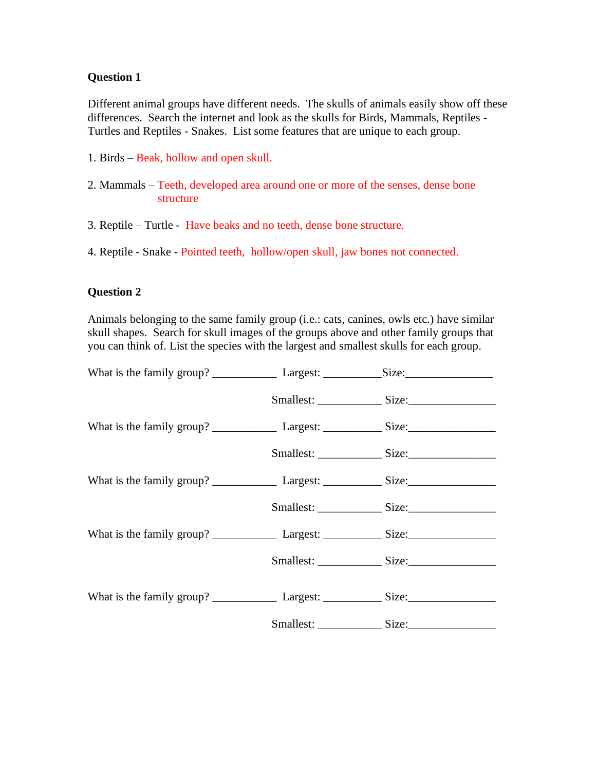Different animal groups have different needs. The skulls of animals easily show off these differences. Search the internet and look as the skulls for Birds, Mammals, Reptiles - Turtles and Reptiles - Snakes. List some features that are unique to each group.

- 1. Birds Beak, hollow and open skull.
- 2. Mammals Teeth, developed area around one or more of the senses, dense bone structure
- 3. Reptile Turtle Have beaks and no teeth, dense bone structure.

4. Reptile - Snake - Pointed teeth, hollow/open skull, jaw bones not connected.

#### **Question 2**

Animals belonging to the same family group (i.e.: cats, canines, owls etc.) have similar skull shapes. Search for skull images of the groups above and other family groups that you can think of. List the species with the largest and smallest skulls for each group.

|  | Smallest: Size: |  |
|--|-----------------|--|
|  |                 |  |
|  |                 |  |
|  |                 |  |
|  | Smallest: Size: |  |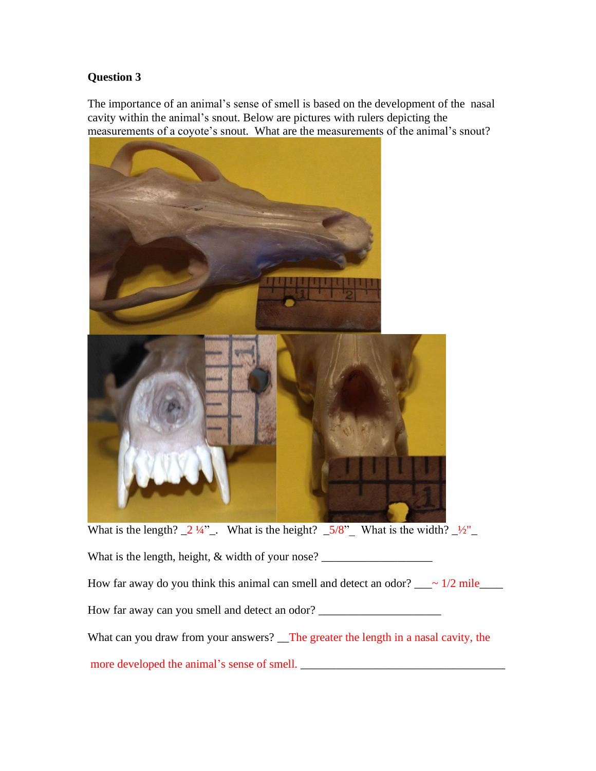The importance of an animal's sense of smell is based on the development of the nasal cavity within the animal's snout. Below are pictures with rulers depicting the measurements of a coyote's snout. What are the measurements of the animal's snout?



What can you draw from your answers? The greater the length in a nasal cavity, the

more developed the animal's sense of smell. \_\_\_\_\_\_\_\_\_\_\_\_\_\_\_\_\_\_\_\_\_\_\_\_\_\_\_\_\_\_\_\_\_\_\_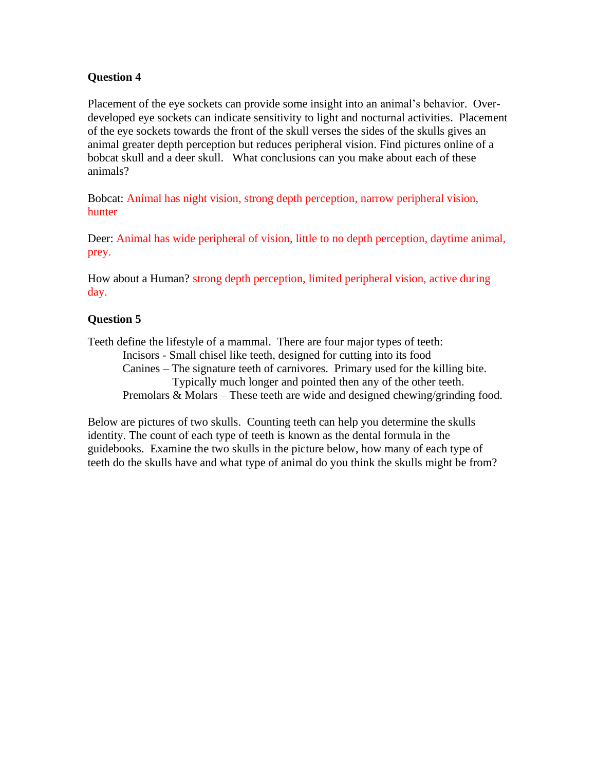Placement of the eye sockets can provide some insight into an animal's behavior. Overdeveloped eye sockets can indicate sensitivity to light and nocturnal activities. Placement of the eye sockets towards the front of the skull verses the sides of the skulls gives an animal greater depth perception but reduces peripheral vision. Find pictures online of a bobcat skull and a deer skull. What conclusions can you make about each of these animals?

Bobcat: Animal has night vision, strong depth perception, narrow peripheral vision, hunter

Deer: Animal has wide peripheral of vision, little to no depth perception, daytime animal, prey.

How about a Human? strong depth perception, limited peripheral vision, active during day.

### **Question 5**

Teeth define the lifestyle of a mammal. There are four major types of teeth: Incisors - Small chisel like teeth, designed for cutting into its food Canines – The signature teeth of carnivores. Primary used for the killing bite. Typically much longer and pointed then any of the other teeth. Premolars & Molars – These teeth are wide and designed chewing/grinding food.

Below are pictures of two skulls. Counting teeth can help you determine the skulls identity. The count of each type of teeth is known as the dental formula in the guidebooks. Examine the two skulls in the picture below, how many of each type of teeth do the skulls have and what type of animal do you think the skulls might be from?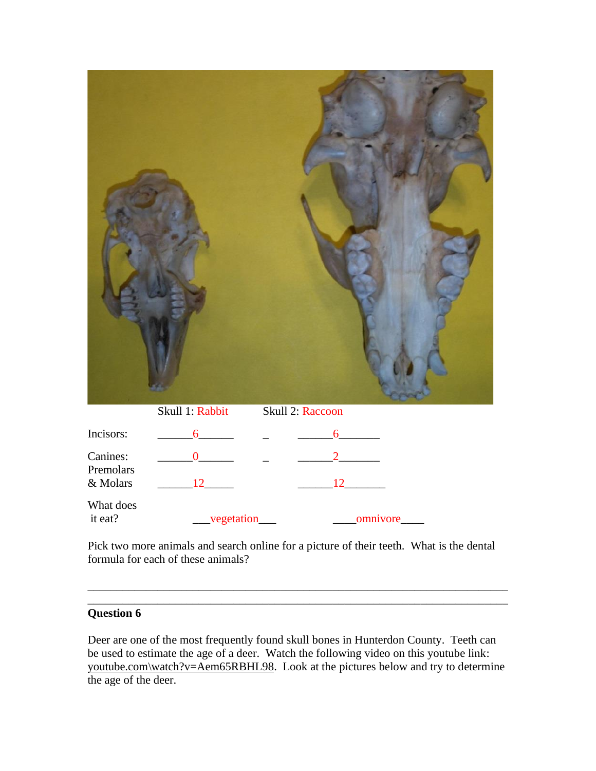|                                   | Skull 1: Rabbit                   | Skull 2: Raccoon |  |
|-----------------------------------|-----------------------------------|------------------|--|
| Incisors:                         | $\frac{6}{100}$ - $\frac{6}{100}$ |                  |  |
| Canines:<br>Premolars<br>& Molars | $\frac{12}{2}$                    | $\frac{12}{2}$   |  |
| What does<br>it eat?              |                                   |                  |  |

Pick two more animals and search online for a picture of their teeth. What is the dental formula for each of these animals?

\_\_\_\_\_\_\_\_\_\_\_\_\_\_\_\_\_\_\_\_\_\_\_\_\_\_\_\_\_\_\_\_\_\_\_\_\_\_\_\_\_\_\_\_\_\_\_\_\_\_\_\_\_\_\_\_\_\_\_\_\_\_\_\_\_\_\_\_\_\_\_\_ \_\_\_\_\_\_\_\_\_\_\_\_\_\_\_\_\_\_\_\_\_\_\_\_\_\_\_\_\_\_\_\_\_\_\_\_\_\_\_\_\_\_\_\_\_\_\_\_\_\_\_\_\_\_\_\_\_\_\_\_\_\_\_\_\_\_\_\_\_\_\_\_

# **Question 6**

Deer are one of the most frequently found skull bones in Hunterdon County. Teeth can be used to estimate the age of a deer. Watch the following video on this youtube link: youtube.com\watch?v=Aem65RBHL98. Look at the pictures below and try to determine the age of the deer.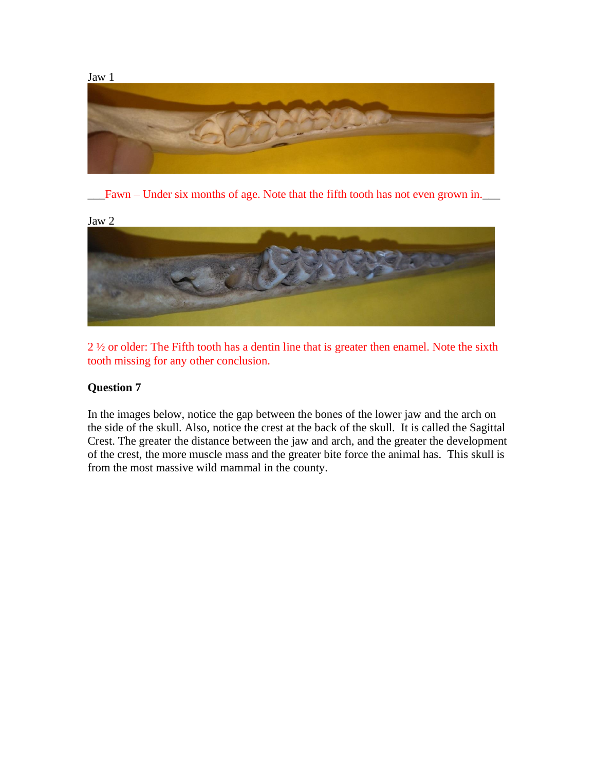

\_\_\_Fawn – Under six months of age. Note that the fifth tooth has not even grown in.\_\_\_



2 ½ or older: The Fifth tooth has a dentin line that is greater then enamel. Note the sixth tooth missing for any other conclusion.

## **Question 7**

In the images below, notice the gap between the bones of the lower jaw and the arch on the side of the skull. Also, notice the crest at the back of the skull. It is called the Sagittal Crest. The greater the distance between the jaw and arch, and the greater the development of the crest, the more muscle mass and the greater bite force the animal has. This skull is from the most massive wild mammal in the county.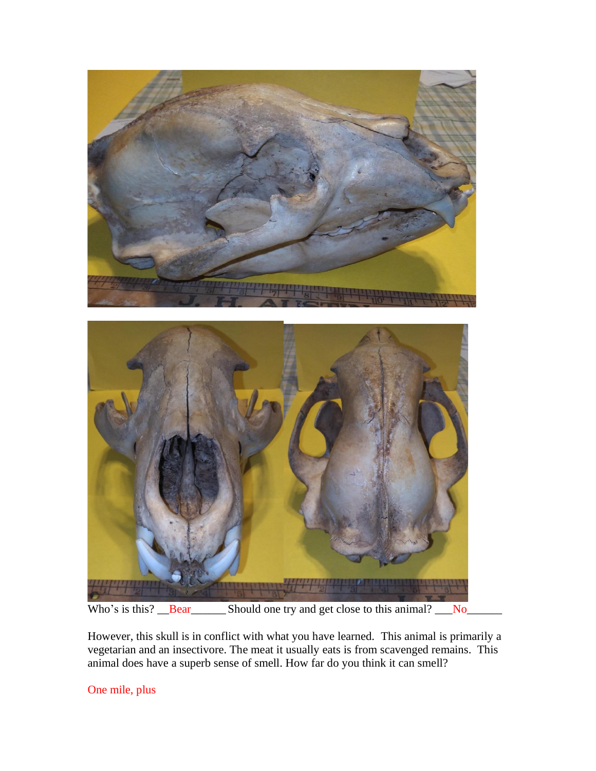



Who's is this? <u>Bear</u> Should one try and get close to this animal? No

However, this skull is in conflict with what you have learned. This animal is primarily a vegetarian and an insectivore. The meat it usually eats is from scavenged remains. This animal does have a superb sense of smell. How far do you think it can smell?

One mile, plus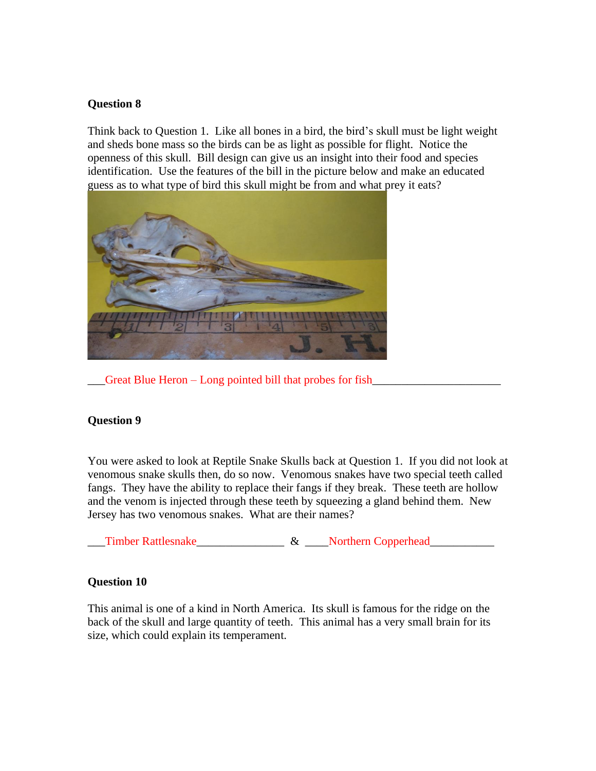Think back to Question 1. Like all bones in a bird, the bird's skull must be light weight and sheds bone mass so the birds can be as light as possible for flight. Notice the openness of this skull. Bill design can give us an insight into their food and species identification. Use the features of the bill in the picture below and make an educated guess as to what type of bird this skull might be from and what prey it eats?



 $\Box$  Great Blue Heron – Long pointed bill that probes for fish

#### **Question 9**

You were asked to look at Reptile Snake Skulls back at Question 1. If you did not look at venomous snake skulls then, do so now. Venomous snakes have two special teeth called fangs. They have the ability to replace their fangs if they break. These teeth are hollow and the venom is injected through these teeth by squeezing a gland behind them. New Jersey has two venomous snakes. What are their names?

Timber Rattlesnake  $\&$  Northern Copperhead

### **Question 10**

This animal is one of a kind in North America. Its skull is famous for the ridge on the back of the skull and large quantity of teeth. This animal has a very small brain for its size, which could explain its temperament.